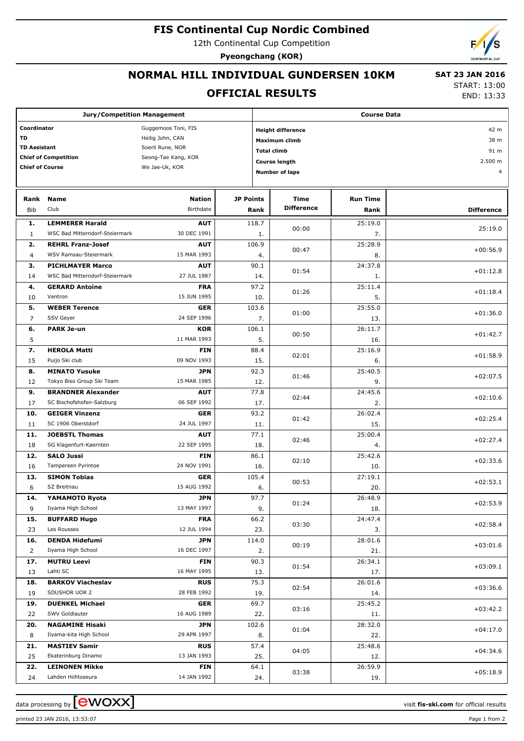### **FIS Continental Cup Nordic Combined**

12th Continental Cup Competition

**Pyeongchang (KOR)**

# **NORMAL HILL INDIVIDUAL GUNDERSEN 10KM**

### **OFFICIAL RESULTS**

 **SAT 23 JAN 2016** START: 13:00

END: 13:33

| <b>Jury/Competition Management</b>       |                                           |                                                             |                  | <b>Course Data</b> |                                           |                 |                   |  |
|------------------------------------------|-------------------------------------------|-------------------------------------------------------------|------------------|--------------------|-------------------------------------------|-----------------|-------------------|--|
| Coordinator<br>TD<br><b>TD Assistant</b> |                                           | Guggemoos Toni, FIS<br>Heilig John, CAN<br>Soerli Rune, NOR |                  |                    | <b>Height difference</b><br>Maximum climb | 42 m<br>38 m    |                   |  |
| <b>Chief of Competition</b>              |                                           | Seong-Tae Kang, KOR                                         |                  | <b>Total climb</b> |                                           |                 | 91 m              |  |
| <b>Chief of Course</b>                   |                                           | We Jae-Uk, KOR                                              |                  |                    | <b>Course length</b>                      | 2.500 m         |                   |  |
|                                          |                                           |                                                             |                  |                    | <b>Number of laps</b>                     | 4               |                   |  |
|                                          |                                           |                                                             |                  |                    |                                           |                 |                   |  |
| Rank                                     | Name                                      | <b>Nation</b>                                               | <b>JP Points</b> |                    | Time                                      | <b>Run Time</b> |                   |  |
| Bib                                      | Club                                      | Birthdate                                                   |                  | Rank               | <b>Difference</b>                         | Rank            | <b>Difference</b> |  |
| 1.                                       | <b>LEMMERER Harald</b>                    | <b>AUT</b>                                                  |                  | 118.7              |                                           | 25:19.0         |                   |  |
| $\mathbf{1}$                             | WSC Bad Mitterndorf-Steiermark            | 30 DEC 1991                                                 |                  | 1.                 | 00:00                                     | 7.              | 25:19.0           |  |
| 2.                                       | <b>REHRL Franz-Josef</b>                  | <b>AUT</b>                                                  |                  | 106.9              |                                           | 25:28.9         |                   |  |
| $\overline{4}$                           | WSV Ramsau-Steiermark                     | 15 MAR 1993                                                 |                  | 4.                 | 00:47                                     | 8.              | $+00:56.9$        |  |
| з.                                       | <b>PICHLMAYER Marco</b>                   | <b>AUT</b>                                                  |                  | 90.1               |                                           | 24:37.8         |                   |  |
| 14                                       | WSC Bad Mitterndorf-Steiermark            | 27 JUL 1987                                                 |                  | 14.                | 01:54                                     | 1.              | $+01:12.8$        |  |
| 4.                                       | <b>GERARD Antoine</b>                     | <b>FRA</b>                                                  |                  | 97.2               |                                           | 25:11.4         |                   |  |
| 10                                       | Ventron                                   | 15 JUN 1995                                                 |                  | 10.                | 01:26                                     | 5.              | $+01:18.4$        |  |
| 5.                                       | <b>WEBER Terence</b>                      | <b>GER</b>                                                  |                  | 103.6              |                                           | 25:55.0         |                   |  |
| $\overline{7}$                           | SSV Geyer                                 | 24 SEP 1996                                                 |                  | 7.                 | 01:00                                     |                 | $+01:36.0$        |  |
|                                          |                                           |                                                             |                  | 106.1              |                                           | 13.             |                   |  |
| 6.                                       | <b>PARK Je-un</b>                         | <b>KOR</b><br>11 MAR 1993                                   |                  |                    | 00:50                                     | 26:11.7         | $+01:42.7$        |  |
| 5                                        |                                           |                                                             |                  | 5.                 |                                           | 16.             |                   |  |
| 7.                                       | <b>HEROLA Matti</b>                       | <b>FIN</b><br>09 NOV 1993                                   |                  | 88.4               | 02:01                                     | 25:16.9         | $+01:58.9$        |  |
| 15                                       | Puijo Ski club                            |                                                             |                  | 15.                |                                           | 6.              |                   |  |
| 8.                                       | <b>MINATO Yusuke</b>                      | <b>JPN</b>                                                  |                  | 92.3               | 01:46                                     | 25:40.5         | $+02:07.5$        |  |
| 12                                       | Tokyo Biso Group Ski Team                 | 15 MAR 1985                                                 |                  | 12.                |                                           | 9.              |                   |  |
| 9.                                       | <b>BRANDNER Alexander</b>                 | <b>AUT</b>                                                  |                  | 77.8               | 02:44                                     | 24:45.6         | $+02:10.6$        |  |
| 17                                       | SC Bischofshofen-Salzburg                 | 06 SEP 1992                                                 |                  | 17.                |                                           | 2.              |                   |  |
| 10.                                      | <b>GEIGER Vinzenz</b>                     | <b>GER</b>                                                  |                  | 93.2               | 01:42                                     | 26:02.4         | $+02:25.4$        |  |
| 11                                       | SC 1906 Oberstdorf                        | 24 JUL 1997                                                 |                  | 11.                |                                           | 15.             |                   |  |
| 11.                                      | <b>JOEBSTL Thomas</b>                     | <b>AUT</b>                                                  |                  | 77.1               | 02:46                                     | 25:00.4         | $+02:27.4$        |  |
| 18                                       | SG Klagenfurt-Kaernten                    | 22 SEP 1995                                                 |                  | 18.                |                                           | 4.              |                   |  |
| 12.                                      | <b>SALO Jussi</b>                         | <b>FIN</b>                                                  |                  | 86.1               | 02:10                                     | 25:42.6         | $+02:33.6$        |  |
| 16                                       | Tampereen Pyrintoe                        | 24 NOV 1991                                                 |                  | 16.                |                                           | 10.             |                   |  |
| 13.                                      | <b>SIMON Tobias</b>                       | <b>GER</b><br>15 AUG 1992                                   |                  | 105.4              | 00:53                                     | 27:19.1         | $+02:53.1$        |  |
| 6                                        | SZ Breitnau                               |                                                             |                  | 6.                 |                                           | 20.             |                   |  |
| 14.                                      | YAMAMOTO Ryota                            | <b>JPN</b>                                                  |                  | 97.7               | 01:24                                     | 26:48.9         | $+02:53.9$        |  |
| 9                                        | Iiyama High School                        | 13 MAY 1997                                                 |                  | 9.                 |                                           | 18.<br>24:47.4  |                   |  |
| 15.                                      | <b>BUFFARD Hugo</b><br>Les Rousses        | <b>FRA</b><br>12 JUL 1994                                   |                  | 66.2               | 03:30                                     |                 | $+02:58.4$        |  |
| 23                                       | <b>DENDA Hidefumi</b>                     |                                                             |                  | 23.                |                                           | 3.              |                   |  |
| 16.                                      | Iiyama High School                        | <b>JPN</b><br>16 DEC 1997                                   |                  | 114.0              | 00:19                                     | 28:01.6         | $+03:01.6$        |  |
| $\overline{2}$                           |                                           |                                                             |                  | 2.                 |                                           | 21.             |                   |  |
| 17.                                      | <b>MUTRU Leevi</b><br>Lahti SC            | FIN<br>16 MAY 1995                                          |                  | 90.3               | 01:54                                     | 26:34.1         | $+03:09.1$        |  |
| 13                                       |                                           |                                                             |                  | 13.                |                                           | 17.<br>26:01.6  |                   |  |
| 18.                                      | <b>BARKOV Viacheslav</b><br>SDUSHOR UOR 2 | <b>RUS</b><br>28 FEB 1992                                   |                  | 75.3               | 02:54                                     |                 | $+03:36.6$        |  |
| 19                                       |                                           |                                                             |                  | 19.                |                                           | 14.             |                   |  |
| 19.                                      | <b>DUENKEL Michael</b><br>SWV Goldlauter  | GER<br>16 AUG 1989                                          |                  |                    | 69.7<br>03:16                             | 25:45.2         | $+03:42.2$        |  |
| 22                                       | <b>NAGAMINE Hisaki</b>                    |                                                             |                  | 22.<br>102.6       |                                           | 11.<br>28:32.0  |                   |  |
| 20.<br>8                                 | Iiyama-kita High School                   | <b>JPN</b><br>29 APR 1997                                   |                  | 8.                 | 01:04                                     | 22.             | $+04:17.0$        |  |
|                                          | <b>MASTIEV Samir</b>                      | <b>RUS</b>                                                  |                  | 57.4               |                                           | 25:48.6         |                   |  |
| 21.<br>25                                | Ekaterinburg Dinamo                       | 13 JAN 1993                                                 |                  | 25.                | 04:05                                     |                 | $+04:34.6$        |  |
| 22.                                      | <b>LEINONEN Mikke</b>                     | <b>FIN</b>                                                  |                  | 64.1               |                                           | 12.<br>26:59.9  |                   |  |
| 24                                       | Lahden Hiihtoseura                        | 14 JAN 1992                                                 |                  | 24.                | 03:38                                     | 19.             | $+05:18.9$        |  |
|                                          |                                           |                                                             |                  |                    |                                           |                 |                   |  |

data processing by **CWOXX** and  $\overline{C}$  and  $\overline{C}$  and  $\overline{C}$  and  $\overline{C}$  and  $\overline{C}$  and  $\overline{C}$  and  $\overline{C}$  and  $\overline{C}$  and  $\overline{C}$  and  $\overline{C}$  and  $\overline{C}$  and  $\overline{C}$  and  $\overline{C}$  and  $\overline{C}$  and  $\overline{C}$ 

printed 23 JAN 2016, 13:53:07 Page 1 from 2